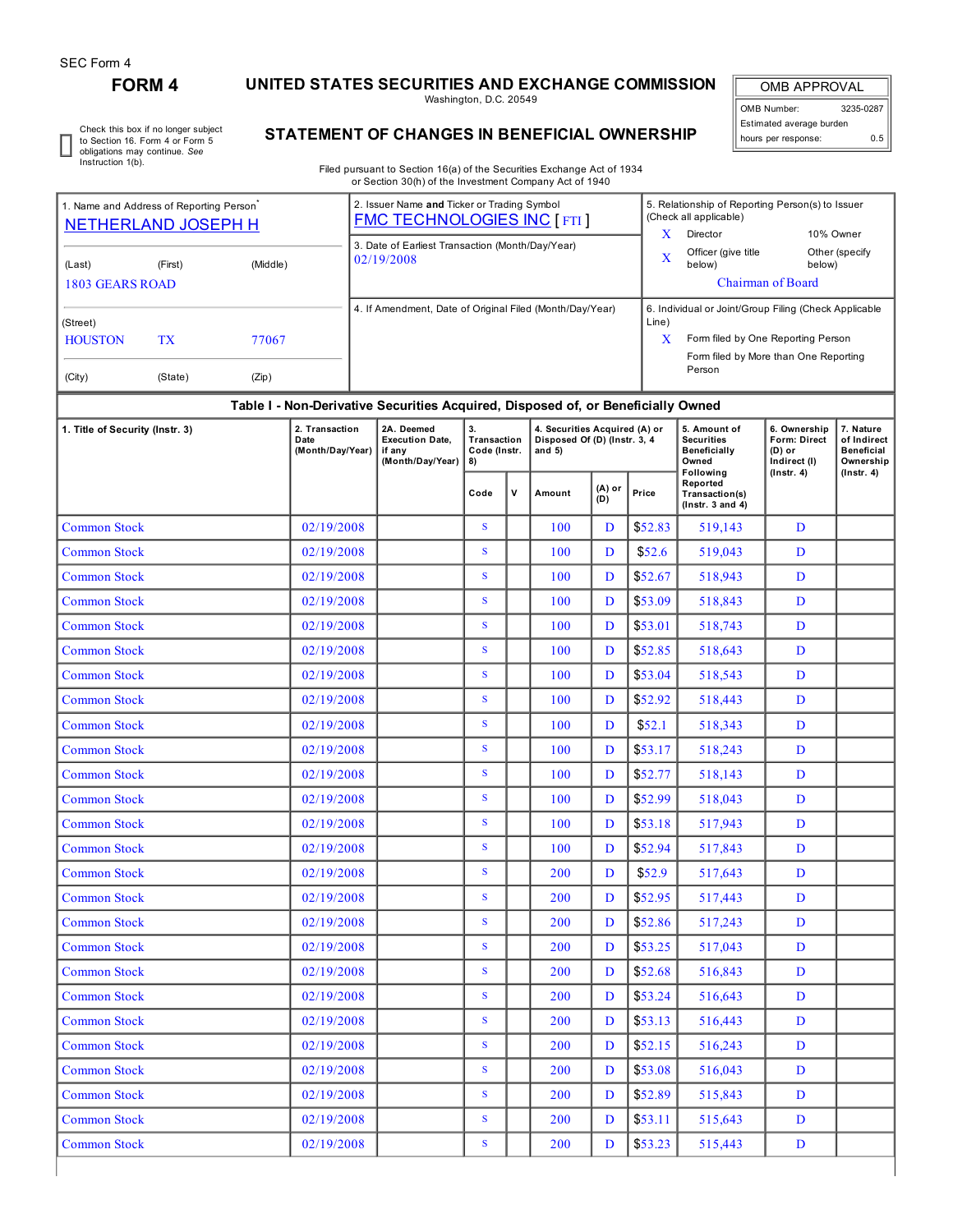# **FORM 4 UNITED STATES SECURITIES AND EXCHANGE COMMISSION**

Washington, D.C. 20549

OMB APPROVAL OMB Number: 3235-0287 Estimated average burden hours per response: 0.5

Check this box if no longer subject to Section 16. Form 4 or Form 5 obligations may continue. *See* Instruction 1(b).

# **STATEMENT OF CHANGES IN BENEFICIAL OWNERSHIP**

Filed pursuant to Section 16(a) of the Securities Exchange Act of 1934 or Section 30(h) of the Investment Company Act of 1940

| 1. Name and Address of Reporting Person <sup>®</sup><br><b>NETHERLAND JOSEPH H</b> |                                                                                  |          | 2. Issuer Name and Ticker or Trading Symbol<br><b>FMC TECHNOLOGIES INC [FTI]</b> | 5. Relationship of Reporting Person(s) to Issuer<br>(Check all applicable)<br>x<br>Director<br>10% Owner                                                |  |  |  |  |  |  |  |
|------------------------------------------------------------------------------------|----------------------------------------------------------------------------------|----------|----------------------------------------------------------------------------------|---------------------------------------------------------------------------------------------------------------------------------------------------------|--|--|--|--|--|--|--|
| (Last)<br>1803 GEARS ROAD                                                          | (First)                                                                          | (Middle) | 3. Date of Earliest Transaction (Month/Day/Year)<br>02/19/2008                   | Officer (give title<br>Other (specify<br>X<br>below)<br>below)<br><b>Chairman of Board</b>                                                              |  |  |  |  |  |  |  |
| (Street)<br><b>HOUSTON</b><br>(City)                                               | TX<br>77067<br>(State)<br>(Zip)                                                  |          | 4. If Amendment, Date of Original Filed (Month/Day/Year)                         | 6. Individual or Joint/Group Filing (Check Applicable<br>Line)<br>Form filed by One Reporting Person<br>Form filed by More than One Reporting<br>Person |  |  |  |  |  |  |  |
|                                                                                    | Table I - Non-Derivative Securities Acquired, Disposed of, or Beneficially Owned |          |                                                                                  |                                                                                                                                                         |  |  |  |  |  |  |  |

## **Table I - Non-Derivative Securities Acquired, Disposed of, or Beneficially Owned**

| 1. Title of Security (Instr. 3) | 2. Transaction<br>Date<br>(Month/Day/Year) | 2A. Deemed<br><b>Execution Date,</b><br>if any<br>(Month/Day/Year) | 3.<br>Transaction<br>Code (Instr.<br>8) |              | 4. Securities Acquired (A) or<br>Disposed Of (D) (Instr. 3, 4<br>and $5)$ |               |         | 5. Amount of<br><b>Securities</b><br>Beneficially<br>Owned<br><b>Following</b> | 6. Ownership<br><b>Form: Direct</b><br>$(D)$ or<br>Indirect (I)<br>$($ Instr. 4 $)$ | 7. Nature<br>of Indirect<br><b>Beneficial</b><br>Ownership |  |
|---------------------------------|--------------------------------------------|--------------------------------------------------------------------|-----------------------------------------|--------------|---------------------------------------------------------------------------|---------------|---------|--------------------------------------------------------------------------------|-------------------------------------------------------------------------------------|------------------------------------------------------------|--|
|                                 |                                            |                                                                    | Code                                    | $\mathsf{v}$ | Amount                                                                    | (A) or<br>(D) | Price   | Reported<br>Transaction(s)<br>$($ Instr. $3$ and $4)$                          |                                                                                     | $($ Instr. 4 $)$                                           |  |
| <b>Common Stock</b>             | 02/19/2008                                 |                                                                    | S                                       |              | 100                                                                       | D             | \$52.83 | 519.143                                                                        | D                                                                                   |                                                            |  |
| <b>Common Stock</b>             | 02/19/2008                                 |                                                                    | S                                       |              | 100                                                                       | D             | \$52.6  | 519,043                                                                        | D                                                                                   |                                                            |  |
| <b>Common Stock</b>             | 02/19/2008                                 |                                                                    | S                                       |              | 100                                                                       | D             | \$52.67 | 518,943                                                                        | D                                                                                   |                                                            |  |
| <b>Common Stock</b>             | 02/19/2008                                 |                                                                    | S                                       |              | 100                                                                       | D             | \$53.09 | 518,843                                                                        | D                                                                                   |                                                            |  |
| <b>Common Stock</b>             | 02/19/2008                                 |                                                                    | S                                       |              | 100                                                                       | D             | \$53.01 | 518,743                                                                        | D                                                                                   |                                                            |  |
| <b>Common Stock</b>             | 02/19/2008                                 |                                                                    | S                                       |              | 100                                                                       | D             | \$52.85 | 518,643                                                                        | D                                                                                   |                                                            |  |
| <b>Common Stock</b>             | 02/19/2008                                 |                                                                    | $\mathbf S$                             |              | 100                                                                       | D             | \$53.04 | 518,543                                                                        | D                                                                                   |                                                            |  |
| <b>Common Stock</b>             | 02/19/2008                                 |                                                                    | S                                       |              | 100                                                                       | D             | \$52.92 | 518,443                                                                        | D                                                                                   |                                                            |  |
| <b>Common Stock</b>             | 02/19/2008                                 |                                                                    | S                                       |              | 100                                                                       | D             | \$52.1  | 518,343                                                                        | D                                                                                   |                                                            |  |
| <b>Common Stock</b>             | 02/19/2008                                 |                                                                    | S                                       |              | 100                                                                       | D             | \$53.17 | 518,243                                                                        | D                                                                                   |                                                            |  |
| <b>Common Stock</b>             | 02/19/2008                                 |                                                                    | S                                       |              | 100                                                                       | D             | \$52.77 | 518,143                                                                        | D                                                                                   |                                                            |  |
| <b>Common Stock</b>             | 02/19/2008                                 |                                                                    | S                                       |              | 100                                                                       | D             | \$52.99 | 518,043                                                                        | D                                                                                   |                                                            |  |
| <b>Common Stock</b>             | 02/19/2008                                 |                                                                    | S                                       |              | 100                                                                       | D             | \$53.18 | 517,943                                                                        | D                                                                                   |                                                            |  |
| <b>Common Stock</b>             | 02/19/2008                                 |                                                                    | S                                       |              | 100                                                                       | D             | \$52.94 | 517,843                                                                        | D                                                                                   |                                                            |  |
| <b>Common Stock</b>             | 02/19/2008                                 |                                                                    | ${\bf S}$                               |              | 200                                                                       | D             | \$52.9  | 517,643                                                                        | D                                                                                   |                                                            |  |
| <b>Common Stock</b>             | 02/19/2008                                 |                                                                    | S                                       |              | 200                                                                       | D             | \$52.95 | 517,443                                                                        | D                                                                                   |                                                            |  |
| <b>Common Stock</b>             | 02/19/2008                                 |                                                                    | S                                       |              | 200                                                                       | D             | \$52.86 | 517,243                                                                        | D                                                                                   |                                                            |  |
| <b>Common Stock</b>             | 02/19/2008                                 |                                                                    | S                                       |              | 200                                                                       | D             | \$53.25 | 517,043                                                                        | D                                                                                   |                                                            |  |
| <b>Common Stock</b>             | 02/19/2008                                 |                                                                    | S                                       |              | 200                                                                       | D             | \$52.68 | 516,843                                                                        | D                                                                                   |                                                            |  |
| <b>Common Stock</b>             | 02/19/2008                                 |                                                                    | $\mathbf S$                             |              | 200                                                                       | D             | \$53.24 | 516,643                                                                        | D                                                                                   |                                                            |  |
| <b>Common Stock</b>             | 02/19/2008                                 |                                                                    | S                                       |              | 200                                                                       | D             | \$53.13 | 516,443                                                                        | D                                                                                   |                                                            |  |
| <b>Common Stock</b>             | 02/19/2008                                 |                                                                    | S                                       |              | 200                                                                       | D             | \$52.15 | 516,243                                                                        | D                                                                                   |                                                            |  |
| <b>Common Stock</b>             | 02/19/2008                                 |                                                                    | S                                       |              | 200                                                                       | D             | \$53.08 | 516,043                                                                        | D                                                                                   |                                                            |  |
| <b>Common Stock</b>             | 02/19/2008                                 |                                                                    | $\mathbf S$                             |              | 200                                                                       | D             | \$52.89 | 515,843                                                                        | $\mathbf{D}$                                                                        |                                                            |  |
| <b>Common Stock</b>             | 02/19/2008                                 |                                                                    | S                                       |              | 200                                                                       | D             | \$53.11 | 515,643                                                                        | D                                                                                   |                                                            |  |
| <b>Common Stock</b>             | 02/19/2008                                 |                                                                    | ${\bf S}$                               |              | 200                                                                       | D             | \$53.23 | 515,443                                                                        | D                                                                                   |                                                            |  |